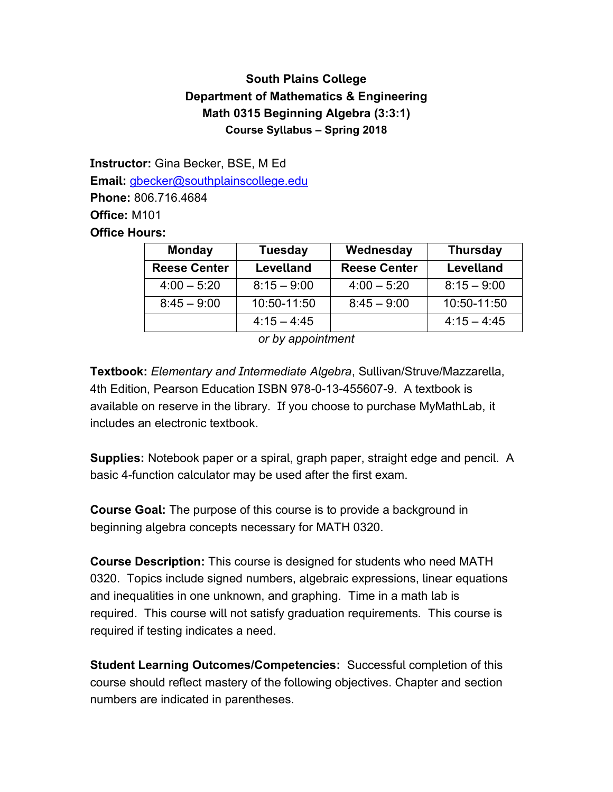## **South Plains College Department of Mathematics & Engineering Math 0315 Beginning Algebra (3:3:1) Course Syllabus – Spring 2018**

**Instructor:** Gina Becker, BSE, M Ed **Email:** [gbecker@southplainscollege.edu](mailto:gbecker@southplainscollege.edu) **Phone:** 806.716.4684 **Office:** M101 **Office Hours:**

| <b>Monday</b>       | <b>Tuesday</b>   | Wednesday           | <b>Thursday</b>  |
|---------------------|------------------|---------------------|------------------|
| <b>Reese Center</b> | <b>Levelland</b> | <b>Reese Center</b> | <b>Levelland</b> |
| $4:00 - 5:20$       | $8:15 - 9:00$    | $4:00 - 5:20$       | $8:15 - 9:00$    |
| $8:45 - 9:00$       | 10:50-11:50      | $8:45 - 9:00$       | 10:50-11:50      |
|                     | $4:15 - 4:45$    |                     | $4:15 - 4:45$    |

*or by appointment*

**Textbook:** *Elementary and Intermediate Algebra*, Sullivan/Struve/Mazzarella, 4th Edition, Pearson Education ISBN 978-0-13-455607-9. A textbook is available on reserve in the library. If you choose to purchase MyMathLab, it includes an electronic textbook.

**Supplies:** Notebook paper or a spiral, graph paper, straight edge and pencil. A basic 4-function calculator may be used after the first exam.

**Course Goal:** The purpose of this course is to provide a background in beginning algebra concepts necessary for MATH 0320.

**Course Description:** This course is designed for students who need MATH 0320. Topics include signed numbers, algebraic expressions, linear equations and inequalities in one unknown, and graphing. Time in a math lab is required. This course will not satisfy graduation requirements. This course is required if testing indicates a need.

**Student Learning Outcomes/Competencies:** Successful completion of this course should reflect mastery of the following objectives. Chapter and section numbers are indicated in parentheses.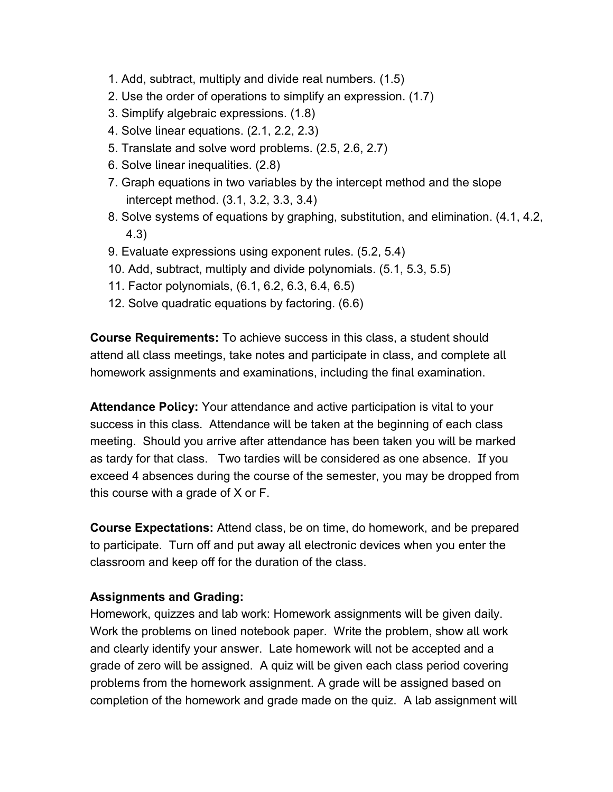- 1. Add, subtract, multiply and divide real numbers. (1.5)
- 2. Use the order of operations to simplify an expression. (1.7)
- 3. Simplify algebraic expressions. (1.8)
- 4. Solve linear equations. (2.1, 2.2, 2.3)
- 5. Translate and solve word problems. (2.5, 2.6, 2.7)
- 6. Solve linear inequalities. (2.8)
- 7. Graph equations in two variables by the intercept method and the slope intercept method. (3.1, 3.2, 3.3, 3.4)
- 8. Solve systems of equations by graphing, substitution, and elimination. (4.1, 4.2, 4.3)
- 9. Evaluate expressions using exponent rules. (5.2, 5.4)
- 10. Add, subtract, multiply and divide polynomials. (5.1, 5.3, 5.5)
- 11. Factor polynomials, (6.1, 6.2, 6.3, 6.4, 6.5)
- 12. Solve quadratic equations by factoring. (6.6)

**Course Requirements:** To achieve success in this class, a student should attend all class meetings, take notes and participate in class, and complete all homework assignments and examinations, including the final examination.

**Attendance Policy:** Your attendance and active participation is vital to your success in this class. Attendance will be taken at the beginning of each class meeting. Should you arrive after attendance has been taken you will be marked as tardy for that class. Two tardies will be considered as one absence. If you exceed 4 absences during the course of the semester, you may be dropped from this course with a grade of X or F.

**Course Expectations:** Attend class, be on time, do homework, and be prepared to participate. Turn off and put away all electronic devices when you enter the classroom and keep off for the duration of the class.

## **Assignments and Grading:**

Homework, quizzes and lab work: Homework assignments will be given daily. Work the problems on lined notebook paper. Write the problem, show all work and clearly identify your answer. Late homework will not be accepted and a grade of zero will be assigned. A quiz will be given each class period covering problems from the homework assignment. A grade will be assigned based on completion of the homework and grade made on the quiz. A lab assignment will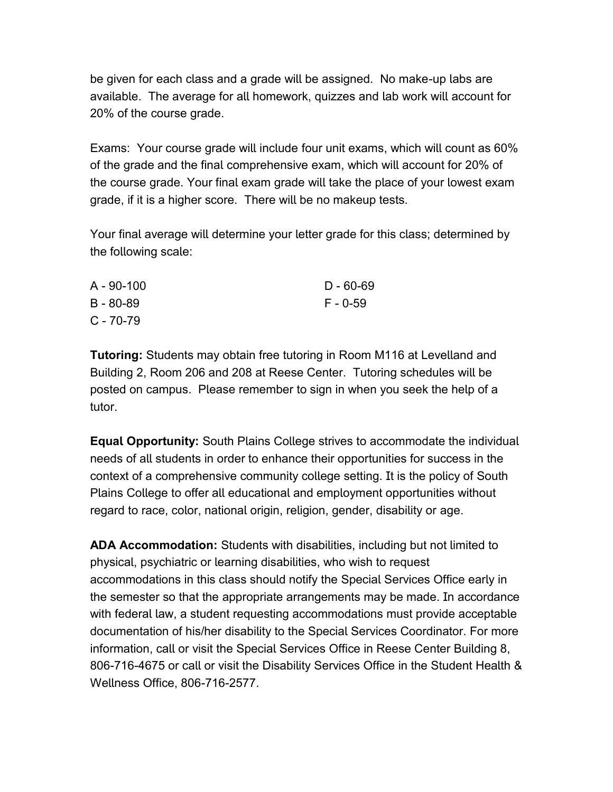be given for each class and a grade will be assigned. No make-up labs are available. The average for all homework, quizzes and lab work will account for 20% of the course grade.

Exams: Your course grade will include four unit exams, which will count as 60% of the grade and the final comprehensive exam, which will account for 20% of the course grade. Your final exam grade will take the place of your lowest exam grade, if it is a higher score. There will be no makeup tests.

Your final average will determine your letter grade for this class; determined by the following scale:

| A - 90-100    | $D - 60 - 69$ |
|---------------|---------------|
| $B - 80 - 89$ | F - 0-59      |
| C - 70-79     |               |

**Tutoring:** Students may obtain free tutoring in Room M116 at Levelland and Building 2, Room 206 and 208 at Reese Center. Tutoring schedules will be posted on campus. Please remember to sign in when you seek the help of a tutor.

**Equal Opportunity:** South Plains College strives to accommodate the individual needs of all students in order to enhance their opportunities for success in the context of a comprehensive community college setting. It is the policy of South Plains College to offer all educational and employment opportunities without regard to race, color, national origin, religion, gender, disability or age.

**ADA Accommodation:** Students with disabilities, including but not limited to physical, psychiatric or learning disabilities, who wish to request accommodations in this class should notify the Special Services Office early in the semester so that the appropriate arrangements may be made. In accordance with federal law, a student requesting accommodations must provide acceptable documentation of his/her disability to the Special Services Coordinator. For more information, call or visit the Special Services Office in Reese Center Building 8, 806-716-4675 or call or visit the Disability Services Office in the Student Health & Wellness Office, 806-716-2577.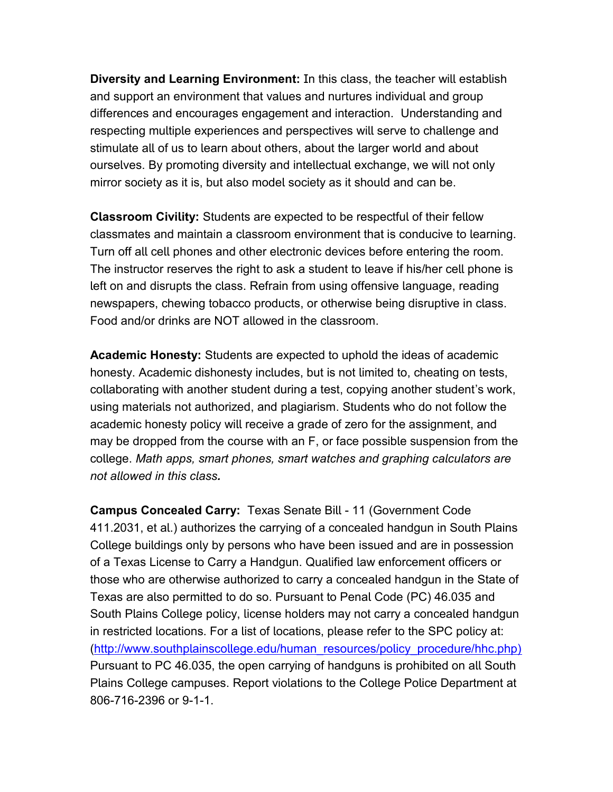**Diversity and Learning Environment:** In this class, the teacher will establish and support an environment that values and nurtures individual and group differences and encourages engagement and interaction. Understanding and respecting multiple experiences and perspectives will serve to challenge and stimulate all of us to learn about others, about the larger world and about ourselves. By promoting diversity and intellectual exchange, we will not only mirror society as it is, but also model society as it should and can be.

**Classroom Civility:** Students are expected to be respectful of their fellow classmates and maintain a classroom environment that is conducive to learning. Turn off all cell phones and other electronic devices before entering the room. The instructor reserves the right to ask a student to leave if his/her cell phone is left on and disrupts the class. Refrain from using offensive language, reading newspapers, chewing tobacco products, or otherwise being disruptive in class. Food and/or drinks are NOT allowed in the classroom.

**Academic Honesty:** Students are expected to uphold the ideas of academic honesty. Academic dishonesty includes, but is not limited to, cheating on tests, collaborating with another student during a test, copying another student's work, using materials not authorized, and plagiarism. Students who do not follow the academic honesty policy will receive a grade of zero for the assignment, and may be dropped from the course with an F, or face possible suspension from the college. *Math apps, smart phones, smart watches and graphing calculators are not allowed in this class.*

**Campus Concealed Carry:** Texas Senate Bill - 11 (Government Code 411.2031, et al.) authorizes the carrying of a concealed handgun in South Plains College buildings only by persons who have been issued and are in possession of a Texas License to Carry a Handgun. Qualified law enforcement officers or those who are otherwise authorized to carry a concealed handgun in the State of Texas are also permitted to do so. Pursuant to Penal Code (PC) 46.035 and South Plains College policy, license holders may not carry a concealed handgun in restricted locations. For a list of locations, please refer to the SPC policy at: [\(http://www.southplainscollege.edu/human\\_resources/policy\\_procedure/hhc.php\)](http://www.southplainscollege.edu/human_resources/policy_procedure/hhc.php)) Pursuant to PC 46.035, the open carrying of handguns is prohibited on all South Plains College campuses. Report violations to the College Police Department at 806-716-2396 or 9-1-1.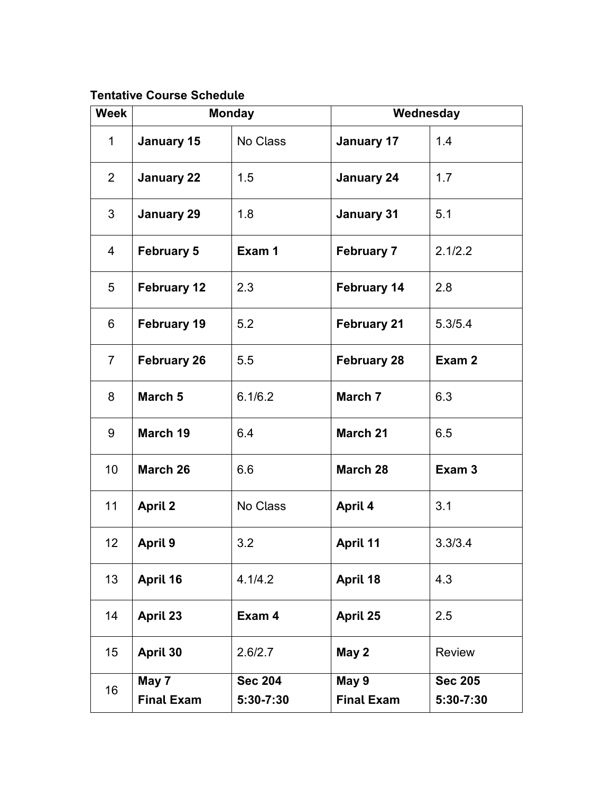## **Tentative Course Schedule**

| <b>Week</b>     | <b>Monday</b>      |                | Wednesday          |                   |
|-----------------|--------------------|----------------|--------------------|-------------------|
| $\mathbf 1$     | <b>January 15</b>  | No Class       | <b>January 17</b>  | 1.4               |
| $\overline{2}$  | <b>January 22</b>  | 1.5            | <b>January 24</b>  | 1.7               |
| 3               | <b>January 29</b>  | 1.8            | <b>January 31</b>  | 5.1               |
| $\overline{4}$  | <b>February 5</b>  | Exam 1         | <b>February 7</b>  | 2.1/2.2           |
| 5               | <b>February 12</b> | 2.3            | <b>February 14</b> | 2.8               |
| 6               | <b>February 19</b> | 5.2            | <b>February 21</b> | 5.3/5.4           |
| $\overline{7}$  | <b>February 26</b> | 5.5            | <b>February 28</b> | Exam 2            |
| 8               | March 5            | 6.1/6.2        | March 7            | 6.3               |
| 9               | March 19           | 6.4            | <b>March 21</b>    | 6.5               |
| 10              | March 26           | 6.6            | March 28           | Exam <sub>3</sub> |
| 11              | <b>April 2</b>     | No Class       | April 4            | 3.1               |
| 12 <sub>2</sub> | <b>April 9</b>     | 3.2            | <b>April 11</b>    | 3.3/3.4           |
| 13              | April 16           | 4.1/4.2        | April 18           | 4.3               |
| 14              | April 23           | Exam 4         | April 25           | 2.5               |
| 15              | April 30           | 2.6/2.7        | May 2              | <b>Review</b>     |
| 16              | May 7              | <b>Sec 204</b> | May 9              | <b>Sec 205</b>    |
|                 | <b>Final Exam</b>  | 5:30-7:30      | <b>Final Exam</b>  | 5:30-7:30         |